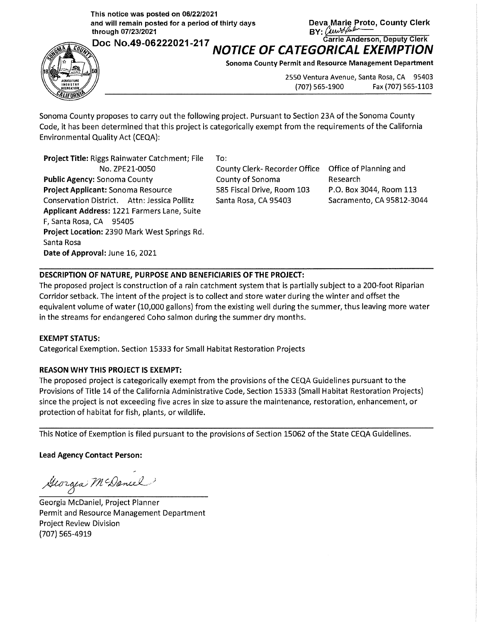**This notice was posted on 06/22/2021**  and will remain posted for a period of thirty days **Deva Marie Proto, County Clerk**<br> **through 07/23/2021** BY: **and the Start of Line of Line of Line of Line of Line of Line of Line of Line of Line o** 

D N 49 06222021 217 **Carrie Anderson, Deputy Clerk** 



**EXAMPLE OF CATEGORICAL EXEMPTION** 

**Sonoma County Permit and Resource Management Department** 

2550 Ventura Avenue, Santa Rosa, CA 95403 (707) 565-1900 Fax (707) 565-1103

Sonoma County proposes to carry out the following project. Pursuant to Section 23A of the Sonoma County Code, it has been determined that this project is categorically exempt from the requirements of the California Environmental Quality Act {CEQA):

**Project Title:** Riggs Rainwater Catchment; File No. ZPE21-0050 **Public Agency:** Sonoma County **Project Applicant:** Sonoma Resource Conservation District. Attn: Jessica Pollitz **Applicant Address:** 1221 Farmers Lane, Suite F, Santa Rosa, CA 95405 **Project Location:** 2390 Mark West Springs Rd. Santa Rosa **Date of Approval:** June 16, 2021

To:

County Clerk- Recorder Office County of Sonoma 585 Fiscal Drive, Room 103 Santa Rosa, CA 95403

Office of Planning and Research P.O. Box 3044, Room 113 Sacramento, CA 95812-3044

## **DESCRIPTION OF NATURE, PURPOSE AND BENEFICIARIES OF THE PROJECT:**

The proposed project is construction of a rain catchment system that is partially subject to a 200-foot Riparian Corridor setback. The intent of the project is to collect and store water during the winter and offset the equivalent volume of water {10,000 gallons) from the existing well during the summer, thus leaving more water in the streams for endangered Coho salmon during the summer dry months.

## **EXEMPT STATUS:**

Categorical Exemption. Section 15333 for Small Habitat Restoration Projects

## **REASON WHY THIS PROJECT IS EXEMPT:**

The proposed project is categorically exempt from the provisions of the CEQA Guidelines pursuant to the Provisions of Title 14 of the California Administrative Code, Section 15333 (Small Habitat Restoration Projects) since the project is not exceeding five acres in size to assure the maintenance, restoration, enhancement, or protection of habitat for fish, plants, or wildlife.

This Notice of Exemption is filed pursuant to the provisions of Section 15062 of the State CEQA Guidelines.

**Lead Agency Contact Person:** 

Georgea McDaniel

Georgia McDaniel, Project Planner Permit and Resource Management Department Project Review Division (707) 565-4919